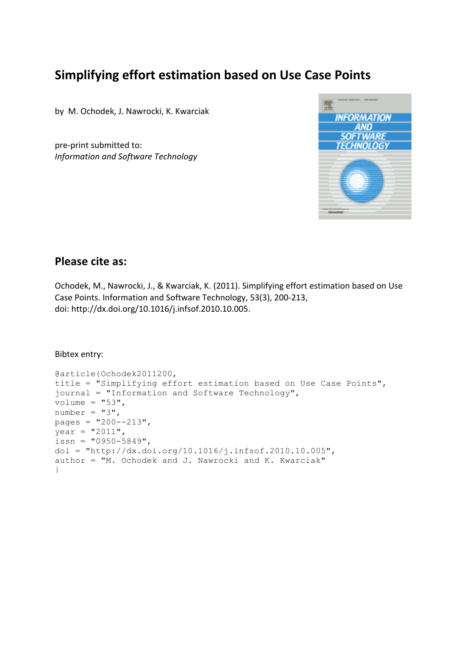# **Simplifying effort estimation based on Use Case Points**

by M. Ochodek, J. Nawrocki, K. Kwarciak

pre-print submitted to: *Information and Software Technology*



## **Please cite as:**

Ochodek, M., Nawrocki, J., & Kwarciak, K. (2011). Simplifying effort estimation based on Use Case Points. Information and Software Technology, 53(3), 200-213, doi: http://dx.doi.org/10.1016/j.infsof.2010.10.005.

Bibtex entry:

```
@article{Ochodek2011200,
title = "Simplifying effort estimation based on Use Case Points",
journal = "Information and Software Technology",
volume = "53",
number = "3",pages = "200--213",year = "2011",issn = "0950-5849",
doi = "http://dx.doi.org/10.1016/j.infsof.2010.10.005",
author = "M. Ochodek and J. Nawrocki and K. Kwarciak"
}
```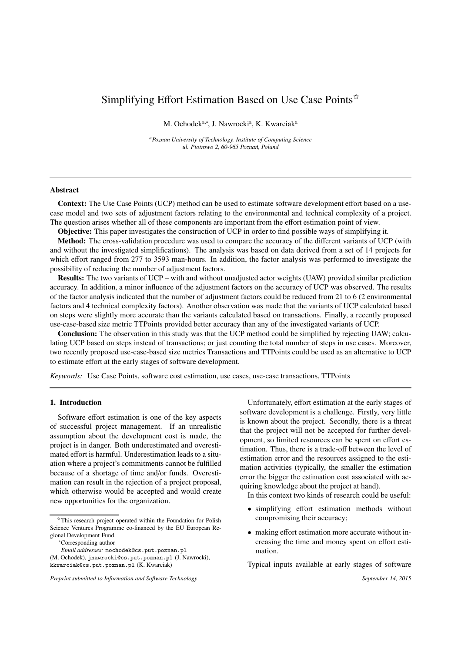## Simplifying Effort Estimation Based on Use Case Points $\hat{z}$

M. Ochodek<sup>a,\*</sup>, J. Nawrocki<sup>a</sup>, K. Kwarciak<sup>a</sup>

*aPoznan University of Technology, Institute of Computing Science ul. Piotrowo 2, 60-965 Pozna ´n, Poland*

## Abstract

Context: The Use Case Points (UCP) method can be used to estimate software development effort based on a usecase model and two sets of adjustment factors relating to the environmental and technical complexity of a project. The question arises whether all of these components are important from the effort estimation point of view.

Objective: This paper investigates the construction of UCP in order to find possible ways of simplifying it.

Method: The cross-validation procedure was used to compare the accuracy of the different variants of UCP (with and without the investigated simplifications). The analysis was based on data derived from a set of 14 projects for which effort ranged from 277 to 3593 man-hours. In addition, the factor analysis was performed to investigate the possibility of reducing the number of adjustment factors.

Results: The two variants of UCP – with and without unadjusted actor weights (UAW) provided similar prediction accuracy. In addition, a minor influence of the adjustment factors on the accuracy of UCP was observed. The results of the factor analysis indicated that the number of adjustment factors could be reduced from 21 to 6 (2 environmental factors and 4 technical complexity factors). Another observation was made that the variants of UCP calculated based on steps were slightly more accurate than the variants calculated based on transactions. Finally, a recently proposed use-case-based size metric TTPoints provided better accuracy than any of the investigated variants of UCP.

Conclusion: The observation in this study was that the UCP method could be simplified by rejecting UAW; calculating UCP based on steps instead of transactions; or just counting the total number of steps in use cases. Moreover, two recently proposed use-case-based size metrics Transactions and TTPoints could be used as an alternative to UCP to estimate effort at the early stages of software development.

*Keywords:* Use Case Points, software cost estimation, use cases, use-case transactions, TTPoints

## 1. Introduction

Software effort estimation is one of the key aspects of successful project management. If an unrealistic assumption about the development cost is made, the project is in danger. Both underestimated and overestimated effort is harmful. Underestimation leads to a situation where a project's commitments cannot be fulfilled because of a shortage of time and/or funds. Overestimation can result in the rejection of a project proposal, which otherwise would be accepted and would create new opportunities for the organization.

Unfortunately, effort estimation at the early stages of software development is a challenge. Firstly, very little is known about the project. Secondly, there is a threat that the project will not be accepted for further development, so limited resources can be spent on effort estimation. Thus, there is a trade-off between the level of estimation error and the resources assigned to the estimation activities (typically, the smaller the estimation error the bigger the estimation cost associated with acquiring knowledge about the project at hand).

In this context two kinds of research could be useful:

- simplifying effort estimation methods without compromising their accuracy;
- making effort estimation more accurate without increasing the time and money spent on effort estimation.

Typical inputs available at early stages of software

<sup>✩</sup>This research project operated within the Foundation for Polish Science Ventures Programme co-financed by the EU European Regional Development Fund.

<sup>∗</sup>Corresponding author

*Email addresses:* mochodek@cs.put.poznan.pl (M. Ochodek), jnawrocki@cs.put.poznan.pl (J. Nawrocki), kkwarciak@cs.put.poznan.pl (K. Kwarciak)

*Preprint submitted to Information and Software Technology September 14, 2015*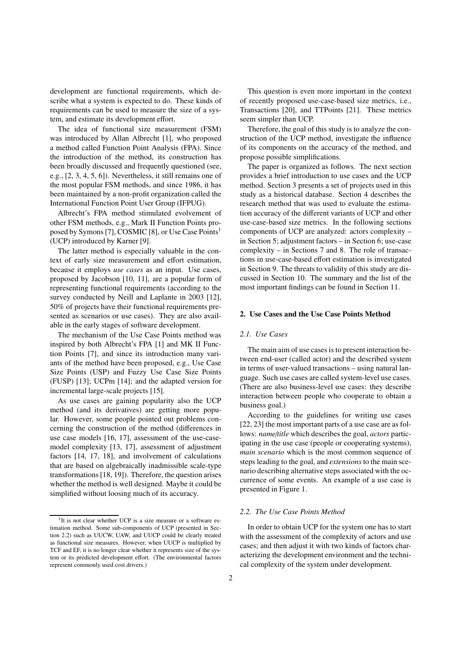development are functional requirements, which describe what a system is expected to do. These kinds of requirements can be used to measure the size of a system, and estimate its development effort.

The idea of functional size measurement (FSM) was introduced by Allan Albrecht [1], who proposed a method called Function Point Analysis (FPA). Since the introduction of the method, its construction has been broadly discussed and frequently questioned (see, e.g., [2, 3, 4, 5, 6]). Nevertheless, it still remains one of the most popular FSM methods, and since 1986, it has been maintained by a non-profit organization called the International Function Point User Group (IFPUG).

Albrecht's FPA method stimulated evolvement of other FSM methods, e.g., Mark II Function Points proposed by Symons [7], COSMIC [8], or Use Case Points<sup>1</sup> (UCP) introduced by Karner [9].

The latter method is especially valuable in the context of early size measurement and effort estimation, because it employs *use cases* as an input. Use cases, proposed by Jacobson [10, 11], are a popular form of representing functional requirements (according to the survey conducted by Neill and Laplante in 2003 [12], 50% of projects have their functional requirements presented as scenarios or use cases). They are also available in the early stages of software development.

The mechanism of the Use Case Points method was inspired by both Albrecht's FPA [1] and MK II Function Points [7], and since its introduction many variants of the method have been proposed, e.g., Use Case Size Points (USP) and Fuzzy Use Case Size Points (FUSP) [13]; UCPm [14]; and the adapted version for incremental large-scale projects [15].

As use cases are gaining popularity also the UCP method (and its derivatives) are getting more popular. However, some people pointed out problems concerning the construction of the method (differences in use case models [16, 17], assessment of the use-casemodel complexity [13, 17], assessment of adjustment factors [14, 17, 18], and involvement of calculations that are based on algebraically inadmissible scale-type transformations [18, 19]). Therefore, the question arises whether the method is well designed. Maybe it could be simplified without loosing much of its accuracy.

This question is even more important in the context of recently proposed use-case-based size metrics, i.e., Transactions [20], and TTPoints [21]. These metrics seem simpler than UCP.

Therefore, the goal of this study is to analyze the construction of the UCP method, investigate the influence of its components on the accuracy of the method, and propose possible simplifications.

The paper is organized as follows. The next section provides a brief introduction to use cases and the UCP method. Section 3 presents a set of projects used in this study as a historical database. Section 4 describes the research method that was used to evaluate the estimation accuracy of the different variants of UCP and other use-case-based size metrics. In the following sections components of UCP are analyzed: actors complexity – in Section 5; adjustment factors – in Section 6; use-case complexity – in Sections 7 and 8. The role of transactions in use-case-based effort estimation is investigated in Section 9. The threats to validity of this study are discussed in Section 10. The summary and the list of the most important findings can be found in Section 11.

#### 2. Use Cases and the Use Case Points Method

## *2.1. Use Cases*

The main aim of use cases is to present interaction between end-user (called actor) and the described system in terms of user-valued transactions – using natural language. Such use cases are called system-level use cases. (There are also business-level use cases: they describe interaction between people who cooperate to obtain a business goal.)

According to the guidelines for writing use cases [22, 23] the most important parts of a use case are as follows: *name*/*title* which describes the goal, *actors* participating in the use case (people or cooperating systems), *main scenario* which is the most common sequence of steps leading to the goal, and *extensions* to the main scenario describing alternative steps associated with the occurrence of some events. An example of a use case is presented in Figure 1.

#### *2.2. The Use Case Points Method*

In order to obtain UCP for the system one has to start with the assessment of the complexity of actors and use cases; and then adjust it with two kinds of factors characterizing the development environment and the technical complexity of the system under development.

<sup>&</sup>lt;sup>1</sup>It is not clear whether UCP is a size measure or a software estimation method. Some sub-components of UCP (presented in Section 2.2) such as UUCW, UAW, and UUCP could be clearly treated as functional size measures. However, when UUCP is multiplied by TCF and EF, it is no longer clear whether it represents size of the system or its predicted development effort. (The environmental factors represent commonly used cost drivers.)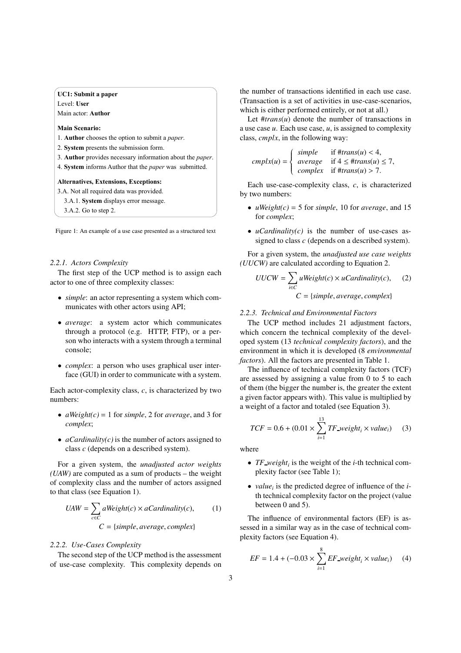## **UC1: Submit a paper**

Level: **User**

Main actor: **Author**

## **Main Scenario:**

- 1. **Author** chooses the option to submit a *paper*.
- 2. **System** presents the submission form.
- 3. **Author** provides necessary information about the *paper*.
- 4. **System** informs Author that the *paper* was submitted.

## **Alternatives, Extensions, Exceptions:**

- 3.A. Not all required data was provided.
- 3.A.1. **System** displays error message.
- 3.A.2. Go to step 2.

Figure 1: An example of a use case presented as a structured text

#### *2.2.1. Actors Complexity*

The first step of the UCP method is to assign each actor to one of three complexity classes:

- *simple*: an actor representing a system which communicates with other actors using API;
- *average*: a system actor which communicates through a protocol (e.g. HTTP, FTP), or a person who interacts with a system through a terminal console;
- *complex*: a person who uses graphical user interface (GUI) in order to communicate with a system.

Each actor-complexity class, *c*, is characterized by two numbers:

- *aWeight(c)* = 1 for *simple*, 2 for *average*, and 3 for *complex*;
- *aCardinality(c)* is the number of actors assigned to class *c* (depends on a described system).

For a given system, the *unadjusted actor weights (UAW)* are computed as a sum of products – the weight of complexity class and the number of actors assigned to that class (see Equation 1).

$$
UAW = \sum_{c \in C} aWeight(c) \times aCardinality(c),
$$
 (1)  

$$
C = \{simple, average, complex\}
$$

#### *2.2.2. Use-Cases Complexity*

The second step of the UCP method is the assessment of use-case complexity. This complexity depends on the number of transactions identified in each use case. (Transaction is a set of activities in use-case-scenarios, which is either performed entirely, or not at all.)

Let  $#trans(u)$  denote the number of transactions in a use case *u*. Each use case, *u*, is assigned to complexity class, *cmplx*, in the following way:

$$
cmplx(u) = \begin{cases} simple & \text{if }\#trans(u) < 4, \\ average & \text{if } 4 \leq \#trans(u) \leq 7, \\ complex & \text{if }\#trans(u) > 7. \end{cases}
$$

Each use-case-complexity class, *c*, is characterized by two numbers:

- $uWeight(c) = 5$  for *simple*, 10 for *average*, and 15 for *complex*;
- *uCardinality(c)* is the number of use-cases assigned to class *c* (depends on a described system).

For a given system, the *unadjusted use case weights (UUCW)* are calculated according to Equation 2.

$$
UUCW = \sum_{i \in C} uWeight(c) \times uCardinality(c), \quad (2)
$$

$$
C = {simple, average, complex}
$$

#### *2.2.3. Technical and Environmental Factors*

The UCP method includes 21 adjustment factors, which concern the technical complexity of the developed system (13 *technical complexity factors*), and the environment in which it is developed (8 *environmental factors*). All the factors are presented in Table 1.

The influence of technical complexity factors (TCF) are assessed by assigning a value from 0 to 5 to each of them (the bigger the number is, the greater the extent a given factor appears with). This value is multiplied by a weight of a factor and totaled (see Equation 3).

$$
TCF = 0.6 + (0.01 \times \sum_{i=1}^{13} TF\_weight_i \times value_i)
$$
 (3)

where

- $TF$ -weight<sub>i</sub> is the weight of the *i*-th technical complexity factor (see Table 1);
- *value<sub>i</sub>* is the predicted degree of influence of the  $i$ th technical complexity factor on the project (value between 0 and 5).

The influence of environmental factors (EF) is assessed in a similar way as in the case of technical complexity factors (see Equation 4).

$$
EF = 1.4 + (-0.03 \times \sum_{i=1}^{8} EF\_weight_i \times value_i)
$$
 (4)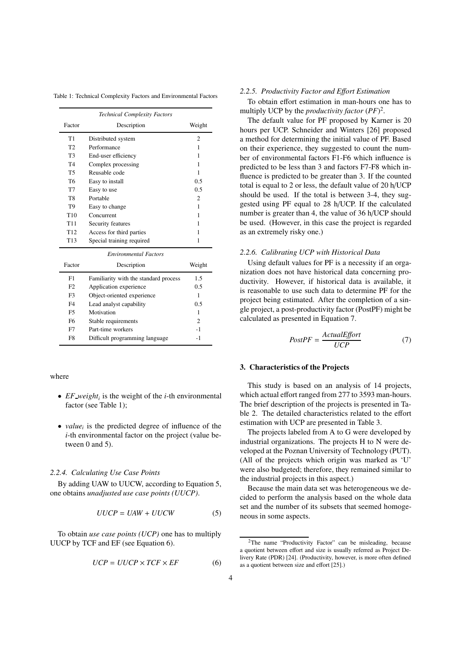Table 1: Technical Complexity Factors and Environmental Factors

| <b>Technical Complexity Factors</b> |                                       |                |  |  |  |  |  |  |  |
|-------------------------------------|---------------------------------------|----------------|--|--|--|--|--|--|--|
| Factor                              | Description                           | Weight         |  |  |  |  |  |  |  |
| T1                                  | Distributed system                    | 2              |  |  |  |  |  |  |  |
| T <sub>2</sub>                      | Performance                           | 1              |  |  |  |  |  |  |  |
| <b>T3</b>                           | End-user efficiency                   | 1              |  |  |  |  |  |  |  |
| T <sub>4</sub>                      | Complex processing                    | 1              |  |  |  |  |  |  |  |
| <b>T5</b>                           | Reusable code                         | 1              |  |  |  |  |  |  |  |
| <b>T<sub>6</sub></b>                | Easy to install                       | 0.5            |  |  |  |  |  |  |  |
| T <sub>7</sub>                      | Easy to use                           | 0.5            |  |  |  |  |  |  |  |
| T <sub>8</sub>                      | Portable                              | $\overline{c}$ |  |  |  |  |  |  |  |
| T9                                  | Easy to change                        | 1              |  |  |  |  |  |  |  |
| T <sub>10</sub>                     | Concurrent                            | 1              |  |  |  |  |  |  |  |
| T <sub>11</sub>                     | Security features                     | 1              |  |  |  |  |  |  |  |
| T <sub>12</sub>                     | Access for third parties              | 1              |  |  |  |  |  |  |  |
| T <sub>13</sub>                     | Special training required             | 1              |  |  |  |  |  |  |  |
|                                     | <b>Environmental Factors</b>          |                |  |  |  |  |  |  |  |
| Factor                              | Description                           | Weight         |  |  |  |  |  |  |  |
| F1                                  | Familiarity with the standard process | 1.5            |  |  |  |  |  |  |  |
| F2                                  | Application experience                | 0.5            |  |  |  |  |  |  |  |
| F <sub>3</sub>                      | Object-oriented experience            | 1              |  |  |  |  |  |  |  |
| F4                                  | Lead analyst capability               | 0.5            |  |  |  |  |  |  |  |
| F <sub>5</sub>                      | Motivation                            | 1              |  |  |  |  |  |  |  |
| F <sub>6</sub>                      | Stable requirements                   | $\mathfrak{D}$ |  |  |  |  |  |  |  |
| F7                                  | Part-time workers                     | $-1$           |  |  |  |  |  |  |  |
| F8                                  | Difficult programming language        | $-1$           |  |  |  |  |  |  |  |

#### where

- $EF$ *weight*, is the weight of the *i*-th environmental factor (see Table 1);
- *value<sub>i</sub>* is the predicted degree of influence of the *i*-th environmental factor on the project (value between 0 and 5).

#### *2.2.4. Calculating Use Case Points*

By adding UAW to UUCW, according to Equation 5, one obtains *unadjusted use case points (UUCP)*.

$$
UUCP = UAW + UUCW \tag{5}
$$

To obtain *use case points (UCP)* one has to multiply UUCP by TCF and EF (see Equation 6).

$$
UCP = UUCP \times TCF \times EF \tag{6}
$$

## *2.2.5. Productivity Factor and E*ff*ort Estimation*

To obtain effort estimation in man-hours one has to multiply UCP by the *productivity factor* (*PF*) 2.

The default value for PF proposed by Karner is 20 hours per UCP. Schneider and Winters [26] proposed a method for determining the initial value of PF. Based on their experience, they suggested to count the number of environmental factors F1-F6 which influence is predicted to be less than 3 and factors F7-F8 which influence is predicted to be greater than 3. If the counted total is equal to 2 or less, the default value of 20 h/UCP should be used. If the total is between 3-4, they suggested using PF equal to 28 h/UCP. If the calculated number is greater than 4, the value of 36 h/UCP should be used. (However, in this case the project is regarded as an extremely risky one.)

#### *2.2.6. Calibrating UCP with Historical Data*

Using default values for PF is a necessity if an organization does not have historical data concerning productivity. However, if historical data is available, it is reasonable to use such data to determine PF for the project being estimated. After the completion of a single project, a post-productivity factor (PostPF) might be calculated as presented in Equation 7.

$$
PostPF = \frac{ActualEffort}{UCP} \tag{7}
$$

#### 3. Characteristics of the Projects

This study is based on an analysis of 14 projects, which actual effort ranged from 277 to 3593 man-hours. The brief description of the projects is presented in Table 2. The detailed characteristics related to the effort estimation with UCP are presented in Table 3.

The projects labeled from A to G were developed by industrial organizations. The projects H to N were developed at the Poznan University of Technology (PUT). (All of the projects which origin was marked as 'U' were also budgeted; therefore, they remained similar to the industrial projects in this aspect.)

Because the main data set was heterogeneous we decided to perform the analysis based on the whole data set and the number of its subsets that seemed homogeneous in some aspects.

<sup>2</sup>The name "Productivity Factor" can be misleading, because a quotient between effort and size is usually referred as Project Delivery Rate (PDR) [24]. (Productivity, however, is more often defined as a quotient between size and effort [25].)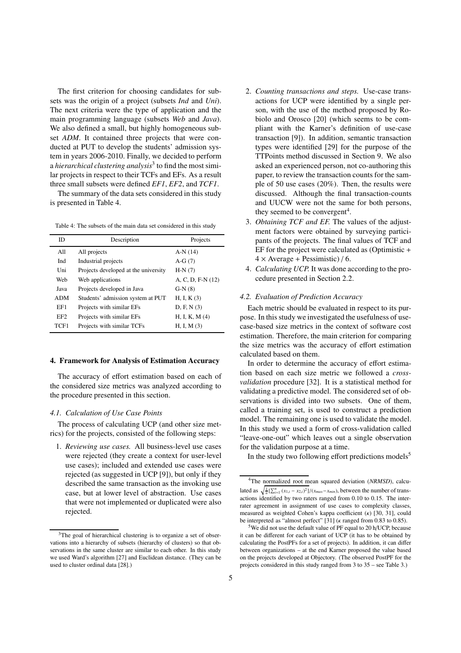The first criterion for choosing candidates for subsets was the origin of a project (subsets *Ind* and *Uni*). The next criteria were the type of application and the main programming language (subsets *Web* and *Java*). We also defined a small, but highly homogeneous subset *ADM*. It contained three projects that were conducted at PUT to develop the students' admission system in years 2006-2010. Finally, we decided to perform a *hierarchical clustering analysis*<sup>3</sup> to find the most similar projects in respect to their TCFs and EFs. As a result three small subsets were defined *EF1*, *EF2*, and *TCF1*.

The summary of the data sets considered in this study is presented in Table 4.

Table 4: The subsets of the main data set considered in this study

| ID.             | Description                          | Projects          |  |  |  |  |
|-----------------|--------------------------------------|-------------------|--|--|--|--|
| A11             | All projects                         | $A-N(14)$         |  |  |  |  |
| Ind             | Industrial projects                  | $A-G(7)$          |  |  |  |  |
| Uni             | Projects developed at the university | $H-N(7)$          |  |  |  |  |
| Web             | Web applications                     | A, C, D, F-N (12) |  |  |  |  |
| Java            | Projects developed in Java           | $G-N(8)$          |  |  |  |  |
| ADM             | Students' admission system at PUT    | H, I, K(3)        |  |  |  |  |
| EF1             | Projects with similar EFs            | D, F, N(3)        |  |  |  |  |
| EF <sub>2</sub> | Projects with similar EFs            | H, I, K, M (4)    |  |  |  |  |
| TCF1            | Projects with similar TCFs           | H, I, M(3)        |  |  |  |  |

#### 4. Framework for Analysis of Estimation Accuracy

The accuracy of effort estimation based on each of the considered size metrics was analyzed according to the procedure presented in this section.

## *4.1. Calculation of Use Case Points*

The process of calculating UCP (and other size metrics) for the projects, consisted of the following steps:

1. *Reviewing use cases.* All business-level use cases were rejected (they create a context for user-level use cases); included and extended use cases were rejected (as suggested in UCP [9]), but only if they described the same transaction as the invoking use case, but at lower level of abstraction. Use cases that were not implemented or duplicated were also rejected.

- 2. *Counting transactions and steps.* Use-case transactions for UCP were identified by a single person, with the use of the method proposed by Robiolo and Orosco [20] (which seems to be compliant with the Karner's definition of use-case transaction [9]). In addition, semantic transaction types were identified [29] for the purpose of the TTPoints method discussed in Section 9. We also asked an experienced person, not co-authoring this paper, to review the transaction counts for the sample of 50 use cases (20%). Then, the results were discussed. Although the final transaction-counts and UUCW were not the same for both persons, they seemed to be convergent<sup>4</sup>.
- 3. *Obtaining TCF and EF.* The values of the adjustment factors were obtained by surveying participants of the projects. The final values of TCF and EF for the project were calculated as (Optimistic +  $4 \times$  Average + Pessimistic) / 6.
- 4. *Calculating UCP.* It was done according to the procedure presented in Section 2.2.

#### *4.2. Evaluation of Prediction Accuracy*

Each metric should be evaluated in respect to its purpose. In this study we investigated the usefulness of usecase-based size metrics in the context of software cost estimation. Therefore, the main criterion for comparing the size metrics was the accuracy of effort estimation calculated based on them.

In order to determine the accuracy of effort estimation based on each size metric we followed a *crossvalidation* procedure [32]. It is a statistical method for validating a predictive model. The considered set of observations is divided into two subsets. One of them, called a training set, is used to construct a prediction model. The remaining one is used to validate the model. In this study we used a form of cross-validation called "leave-one-out" which leaves out a single observation for the validation purpose at a time.

In the study two following effort predictions models<sup>5</sup>

<sup>&</sup>lt;sup>3</sup>The goal of hierarchical clustering is to organize a set of observations into a hierarchy of subsets (hierarchy of clusters) so that observations in the same cluster are similar to each other. In this study we used Ward's algorithm [27] and Euclidean distance. (They can be used to cluster ordinal data [28].)

<sup>4</sup>The normalized root mean squared deviation (*NRMSD*), calculated as  $\sqrt{\frac{1}{n}[\sum_{i=1}^{n}(x_{1,i}-x_{2,i})^2]/(x_{max}-x_{min})}$ , between the number of transactions identified by two raters ranged from 0.10 to 0.15. The interrater agreement in assignment of use cases to complexity classes, measured as weighted Cohen's kappa coefficient (κ) [30, 31], could be interpreted as "almost perfect" [31] (κ ranged from 0.83 to 0.85).

 $5$ We did not use the default value of PF equal to 20 h/UCP, because it can be different for each variant of UCP (it has to be obtained by calculating the PostPFs for a set of projects). In addition, it can differ between organizations – at the end Karner proposed the value based on the projects developed at Objectory. (The observed PostPF for the projects considered in this study ranged from 3 to 35 – see Table 3.)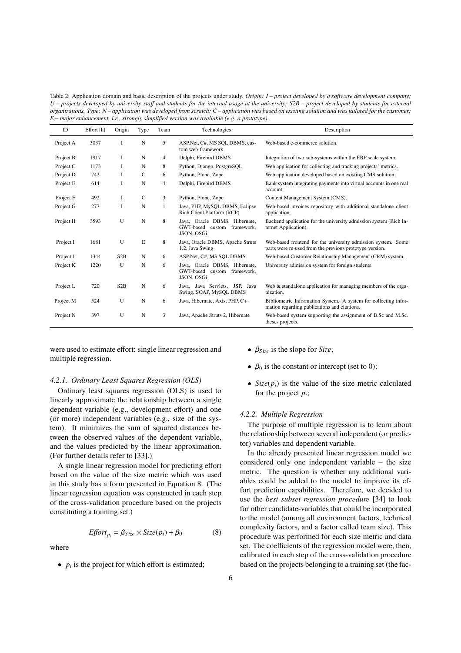Table 2: Application domain and basic description of the projects under study. *Origin: I – project developed by a software development company; U – projects developed by university sta*ff *and students for the internal usage at the university; S2B – project developed by students for external organizations. Type: N – application was developed from scratch; C – application was based on existing solution and was tailored for the customer; E – major enhancement, i.e., strongly simplified version was available (e.g. a prototype).*

| ID        | Effort [h] | Origin           | Type        | Team           | Technologies                                                               | Description                                                                                                             |  |  |  |  |
|-----------|------------|------------------|-------------|----------------|----------------------------------------------------------------------------|-------------------------------------------------------------------------------------------------------------------------|--|--|--|--|
| Project A | 3037       | I                | N           | 5              | ASP.Net, C#, MS SQL DBMS, cus-<br>tom web-framework                        | Web-based e-commerce solution.                                                                                          |  |  |  |  |
| Project B | 1917       | I                | N           | $\overline{4}$ | Delphi, Firebird DBMS                                                      | Integration of two sub-systems within the ERP scale system.                                                             |  |  |  |  |
| Project C | 1173       | 1                | N           | 8              | Python, Django, PostgreSOL                                                 | Web application for collecting and tracking projects' metrics.                                                          |  |  |  |  |
| Project D | 742        | 1                | $\mathbf C$ | 6              | Python, Plone, Zope                                                        | Web application developed based on existing CMS solution.                                                               |  |  |  |  |
| Project E | 614        | I                | N           | $\overline{4}$ | Delphi, Firebird DBMS                                                      | Bank system integrating payments into virtual accounts in one real<br>account.                                          |  |  |  |  |
| Project F | 492        | I                | $\mathbf C$ | 3              | Python, Plone, Zope                                                        | Content Management System (CMS).                                                                                        |  |  |  |  |
| Project G | 277        | I                | N           | $\mathbf{1}$   | Java, PHP, MySQL DBMS, Eclipse<br>Rich Client Platform (RCP)               | Web-based invoices repository with additional standalone client<br>application.                                         |  |  |  |  |
| Project H | 3593       | U                | N           | 8              | Java, Oracle DBMS, Hibernate,<br>GWT-based custom framework.<br>JSON, OSGi | Backend application for the university admission system (Rich In-<br>ternet Application).                               |  |  |  |  |
| Project I | 1681       | U                | E           | 8              | Java, Oracle DBMS, Apache Struts<br>1.2, Java Swing                        | Web-based frontend for the university admission system. Some<br>parts were re-used from the previous prototype version. |  |  |  |  |
| Project J | 1344       | S2B              | N           | 6              | ASP.Net, C#, MS SOL DBMS                                                   | Web-based Customer Relationship Management (CRM) system.                                                                |  |  |  |  |
| Project K | 1220       | U                | N           | 6              | Java, Oracle DBMS, Hibernate,<br>GWT-based custom framework.<br>JSON, OSGi | University admission system for foreign students.                                                                       |  |  |  |  |
| Project L | 720        | S <sub>2</sub> B | N           | 6              | Java, Java Servlets, JSP, Java<br>Swing, SOAP, MySQL DBMS                  | Web & standalone application for managing members of the orga-<br>nization.                                             |  |  |  |  |
| Project M | 524        | U                | N           | 6              | Java, Hibernate, Axis, PHP, C++                                            | Bibliometric Information System. A system for collecting infor-<br>mation regarding publications and citations.         |  |  |  |  |
| Project N | 397        | U                | N           | 3              | Java, Apache Struts 2, Hibernate                                           | Web-based system supporting the assignment of B.Sc and M.Sc.<br>theses projects.                                        |  |  |  |  |

were used to estimate effort: single linear regression and multiple regression.

#### *4.2.1. Ordinary Least Squares Regression (OLS)*

Ordinary least squares regression (OLS) is used to linearly approximate the relationship between a single dependent variable (e.g., development effort) and one (or more) independent variables (e.g., size of the system). It minimizes the sum of squared distances between the observed values of the dependent variable, and the values predicted by the linear approximation. (For further details refer to [33].)

A single linear regression model for predicting effort based on the value of the size metric which was used in this study has a form presented in Equation 8. (The linear regression equation was constructed in each step of the cross-validation procedure based on the projects constituting a training set.)

$$
Effort_{p_i} = \beta_{Size} \times Size(p_i) + \beta_0 \tag{8}
$$

where

•  $p_i$  is the project for which effort is estimated;

- β*S ize* is the slope for *Size*;
- $\beta_0$  is the constant or intercept (set to 0);
- $Size(p_i)$  is the value of the size metric calculated for the project *pi*;

## *4.2.2. Multiple Regression*

The purpose of multiple regression is to learn about the relationship between several independent (or predictor) variables and dependent variable.

In the already presented linear regression model we considered only one independent variable – the size metric. The question is whether any additional variables could be added to the model to improve its effort prediction capabilities. Therefore, we decided to use the *best subset regression procedure* [34] to look for other candidate-variables that could be incorporated to the model (among all environment factors, technical complexity factors, and a factor called team size). This procedure was performed for each size metric and data set. The coefficients of the regression model were, then, calibrated in each step of the cross-validation procedure based on the projects belonging to a training set (the fac-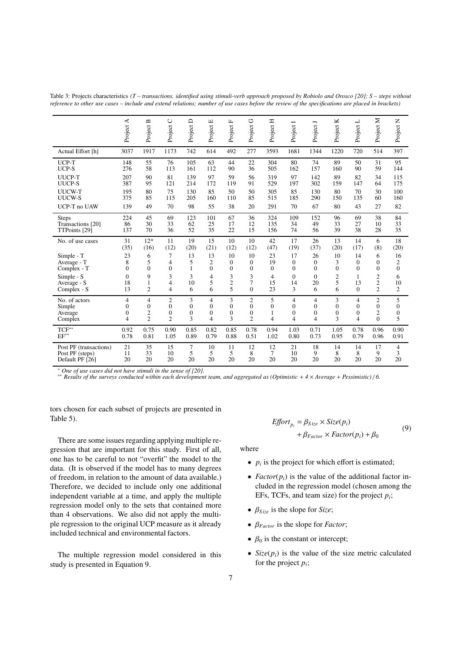|                        | ∢<br>Project   | Project B        | Project C      | Project D      | Project E      | Project F      | Project G      | Project H      | Project I      | Project J    | Project K               | Project L      | Project M               | Project N        |
|------------------------|----------------|------------------|----------------|----------------|----------------|----------------|----------------|----------------|----------------|--------------|-------------------------|----------------|-------------------------|------------------|
| Actual Effort [h]      | 3037           | 1917             | 1173           | 742            | 614            | 492            | 277            | 3593           | 1681           | 1344         | 1220                    | 720            | 514                     | 397              |
| UCP-T                  | 148            | 55               | 76             | 105            | 63             | 44             | 22             | 304            | 80             | 74           | 89                      | 50             | 31                      | 95               |
| UCP-S                  | 276            | 58               | 113            | 161            | 112            | 90             | 36             | 505            | 162            | 157          | 160                     | 90             | 59                      | 144              |
| UUCP-T                 | 207            | 90               | 81             | 139            | 97             | 59             | 56             | 319            | 97             | 142          | 89                      | 82             | 34                      | 115              |
| UUCP-S                 | 387            | 95               | 121            | 214            | 172            | 119            | 91             | 529            | 197            | 302          | 159                     | 147            | 64                      | 175              |
| <b>UUCW-T</b>          | 195            | 80               | 75             | 130            | 85             | 50             | 50             | 305            | 85             | 130          | 80                      | 70             | 30                      | 100              |
| UUCW-S                 | 375            | 85               | 115            | 205            | 160            | 110            | 85             | 515            | 185            | 290          | 150                     | 135            | 60                      | 160              |
| UCP-T no UAW           | 139            | 49               | 70             | 98             | 55             | 38             | 20             | 291            | 70             | 67           | 80                      | 43             | 27                      | 82               |
|                        |                |                  |                |                |                |                |                |                |                |              |                         |                |                         |                  |
| <b>Steps</b>           | 224            | 45               | 69             | 123            | 101            | 67             | 36             | 324            | 109            | 152          | 96                      | 69             | 38                      | 84               |
| Transactions [20]      | 86             | 30               | 33             | 62             | 25             | 17             | 12             | 135            | 34             | 49           | 33                      | 27             | 10                      | 33               |
| TTPoints [29]          | 137            | 70               | 36             | 52             | 35             | 22             | 15             | 156            | 74             | 56           | 39                      | 38             | 28                      | 35               |
| No. of use cases       | 31             | $12*$            | 11             | 19             | 15             | 10             | 10             | 42             | 17             | 26           | 13                      | 14             | 6                       | 18               |
|                        | (35)           | (16)             | (12)           | (20)           | (21)           | (12)           | (12)           | (47)           | (19)           | (37)         | (20)                    | (17)           | (8)                     | (20)             |
| Simple - T             | 23             | 6                | 7              | 13             | 13             | 10             | 10             | 23             | 17             | 26           | 10                      | 14             | 6                       | 16               |
| Average - T            | 8              | 5                | 4              | 5              | $\overline{c}$ | $\mathbf{0}$   | $\mathbf{0}$   | 19             | $\overline{0}$ | $\mathbf{0}$ | 3                       | $\overline{0}$ | $\overline{0}$          | 2                |
| Complex - T            | $\Omega$       | $\theta$         | $\Omega$       | $\mathbf{1}$   | $\Omega$       | $\Omega$       | $\Omega$       | $\theta$       | $\Omega$       | $\Omega$     | $\Omega$                | $\Omega$       | $\boldsymbol{0}$        | $\overline{0}$   |
| Simple - S             | $\Omega$       | 9                | 3              | 3              | 4              | 3              | 3              | $\overline{4}$ | $\theta$       | $\Omega$     | $\overline{\mathbf{c}}$ | $\mathbf{1}$   | $\overline{\mathbf{c}}$ | 6                |
| Average - S            | 18             | 1                | 4              | 10             | 5              | $\overline{c}$ | $\overline{7}$ | 15             | 14             | 20           | 5                       | 13             | $\overline{2}$          | 10               |
| Complex - S            | 13             | $\overline{2}$   | 4              | 6              | 6              | 5              | $\theta$       | 23             | 3              | 6            | 6                       | $\theta$       | $\overline{2}$          | $\overline{c}$   |
| No. of actors          | 4              | 4                | 2              | 3              | 4              | 3              | $\overline{c}$ | 5              | 4              | 4            | 3                       | 4              | $\overline{c}$          | 5                |
| Simple                 | $\theta$       | $\boldsymbol{0}$ | $\Omega$       | $\theta$       | $\Omega$       | $\theta$       | $\mathbf{0}$   | $\overline{0}$ | $\mathbf{0}$   | $\theta$     | $\overline{0}$          | $\mathbf{0}$   | $\boldsymbol{0}$        | $\overline{0}$   |
| Average                | $\overline{0}$ | 2                | $\mathbf{0}$   | $\overline{0}$ | 0              | $\overline{0}$ | $\mathbf{0}$   | 1              | $\mathbf{0}$   | $\theta$     | $\boldsymbol{0}$        | $\mathbf{0}$   | $\overline{\mathbf{c}}$ | $\boldsymbol{0}$ |
| Complex                | 4              | $\overline{c}$   | $\overline{c}$ | 3              | 4              | 3              | $\overline{2}$ | $\overline{4}$ | 4              | 4            | $\mathcal{E}$           | 4              | $\theta$                | 5                |
| $TCF**$                | 0.92           | 0.75             | 0.90           | 0.85           | 0.82           | 0.85           | 0.78           | 0.94           | 1.03           | 0.71         | 1.05                    | 0.78           | 0.96                    | 0.90             |
| $EF**$                 | 0.78           | 0.81             | 1.05           | 0.89           | 0.79           | 0.88           | 0.51           | 1.02           | 0.80           | 0.73         | 0.95                    | 0.79           | 0.96                    | 0.91             |
| Post PF (transactions) | 21             | 35               | 15             | 7              | 10             | 11             | 12             | 12             | 21             | 18           | 14                      | 14             | 17                      | 4                |
| Post PF (steps)        | 11             | 33               | 10             | 5              | 5              | 5              | 8              | 7              | 10             | 9            | 8                       | 8              | 9                       | 3                |
| Default PF [26]        | 20             | 20               | 20             | 20             | 20             | 20             | 20             | 20             | 20             | 20           | 20                      | 20             | 20                      | 20               |

Table 3: Projects characteristics *(T – transactions, identified using stimuli-verb approach proposed by Robiolo and Orosco [20]; S – steps without reference to other use cases – include and extend relations; number of use cases before the review of the specifications are placed in brackets)*

\* One of use cases did not have stimuli in the sense of [20].<br>\*\* Results of the surveys conducted within each development team, and aggregated as (Optimistic + 4 × Average + Pessimistic) / 6.

tors chosen for each subset of projects are presented in Table 5).

There are some issues regarding applying multiple regression that are important for this study. First of all, one has to be careful to not "overfit" the model to the data. (It is observed if the model has to many degrees of freedom, in relation to the amount of data available.) Therefore, we decided to include only one additional independent variable at a time, and apply the multiple regression model only to the sets that contained more than 4 observations. We also did not apply the multiple regression to the original UCP measure as it already included technical and environmental factors.

The multiple regression model considered in this study is presented in Equation 9.

$$
Effort_{p_i} = \beta_{Size} \times Size(p_i) + \beta_{Factor} \times Factor(p_i) + \beta_0
$$
 (9)

where

- $\bullet$   $p_i$  is the project for which effort is estimated;
- $Factor(p_i)$  is the value of the additional factor included in the regression model (chosen among the EFs, TCFs, and team size) for the project *pi*;
- β*S ize* is the slope for *Size*;
- β*Factor* is the slope for *Factor*;
- $\beta_0$  is the constant or intercept;
- $Size(p_i)$  is the value of the size metric calculated for the project *pi*;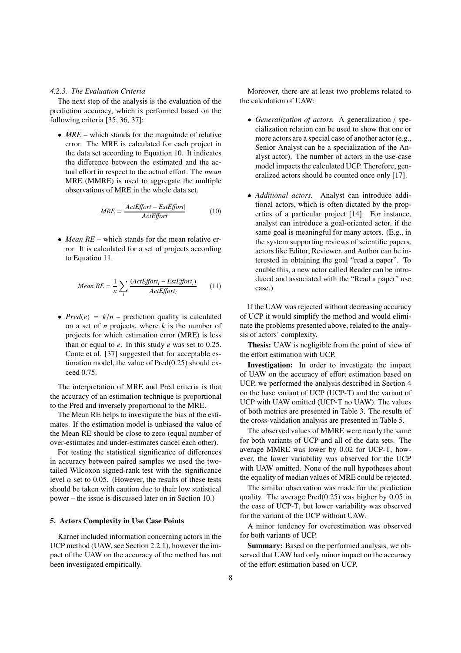#### *4.2.3. The Evaluation Criteria*

The next step of the analysis is the evaluation of the prediction accuracy, which is performed based on the following criteria [35, 36, 37]:

• *MRE* – which stands for the magnitude of relative error. The MRE is calculated for each project in the data set according to Equation 10. It indicates the difference between the estimated and the actual effort in respect to the actual effort. The *mean* MRE (MMRE) is used to aggregate the multiple observations of MRE in the whole data set.

$$
MRE = \frac{|ActEffort - EstEffort|}{ActEffort}
$$
 (10)

• *Mean RE* – which stands for the mean relative error. It is calculated for a set of projects according to Equation 11.

Mean 
$$
RE = \frac{1}{n} \sum_{i} \frac{(ActEffort_i - EstEffort_i)}{ActEffort_i}
$$
 (11)

•  $Pred(e) = k/n$  – prediction quality is calculated on a set of *n* projects, where *k* is the number of projects for which estimation error (MRE) is less than or equal to *e*. In this study *e* was set to 0.25. Conte et al. [37] suggested that for acceptable estimation model, the value of  $Pred(0.25)$  should exceed 0.75.

The interpretation of MRE and Pred criteria is that the accuracy of an estimation technique is proportional to the Pred and inversely proportional to the MRE.

The Mean RE helps to investigate the bias of the estimates. If the estimation model is unbiased the value of the Mean RE should be close to zero (equal number of over-estimates and under-estimates cancel each other).

For testing the statistical significance of differences in accuracy between paired samples we used the twotailed Wilcoxon signed-rank test with the significance level  $\alpha$  set to 0.05. (However, the results of these tests should be taken with caution due to their low statistical power – the issue is discussed later on in Section 10.)

## 5. Actors Complexity in Use Case Points

Karner included information concerning actors in the UCP method (UAW, see Section 2.2.1), however the impact of the UAW on the accuracy of the method has not been investigated empirically.

Moreover, there are at least two problems related to the calculation of UAW:

- *Generalization of actors.* A generalization / specialization relation can be used to show that one or more actors are a special case of another actor (e.g., Senior Analyst can be a specialization of the Analyst actor). The number of actors in the use-case model impacts the calculated UCP. Therefore, generalized actors should be counted once only [17].
- *Additional actors.* Analyst can introduce additional actors, which is often dictated by the properties of a particular project [14]. For instance, analyst can introduce a goal-oriented actor, if the same goal is meaningful for many actors. (E.g., in the system supporting reviews of scientific papers, actors like Editor, Reviewer, and Author can be interested in obtaining the goal "read a paper". To enable this, a new actor called Reader can be introduced and associated with the "Read a paper" use case.)

If the UAW was rejected without decreasing accuracy of UCP it would simplify the method and would eliminate the problems presented above, related to the analysis of actors' complexity.

Thesis: UAW is negligible from the point of view of the effort estimation with UCP.

Investigation: In order to investigate the impact of UAW on the accuracy of effort estimation based on UCP, we performed the analysis described in Section 4 on the base variant of UCP (UCP-T) and the variant of UCP with UAW omitted (UCP-T no UAW). The values of both metrics are presented in Table 3. The results of the cross-validation analysis are presented in Table 5.

The observed values of MMRE were nearly the same for both variants of UCP and all of the data sets. The average MMRE was lower by 0.02 for UCP-T, however, the lower variability was observed for the UCP with UAW omitted. None of the null hypotheses about the equality of median values of MRE could be rejected.

The similar observation was made for the prediction quality. The average Pred(0.25) was higher by 0.05 in the case of UCP-T, but lower variability was observed for the variant of the UCP without UAW.

A minor tendency for overestimation was observed for both variants of UCP.

Summary: Based on the performed analysis, we observed that UAW had only minor impact on the accuracy of the effort estimation based on UCP.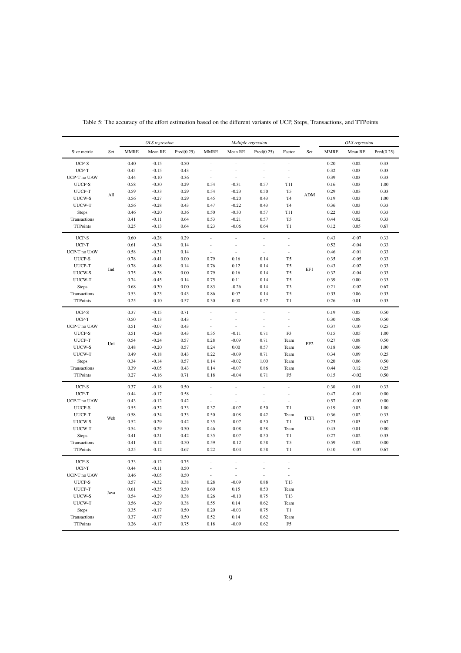|                 |      |             | OLS regression |            |                          | Multiple regression      |                          |                      |                 | OLS regression |         |            |  |
|-----------------|------|-------------|----------------|------------|--------------------------|--------------------------|--------------------------|----------------------|-----------------|----------------|---------|------------|--|
| Size metric     | Set  | <b>MMRE</b> | Mean RE        | Pred(0.25) | <b>MMRE</b>              | Mean RE                  | Pred(0.25)               | Factor               | Set             | <b>MMRE</b>    | Mean RE | Pred(0.25) |  |
| UCP-S           |      | 0.40        | $-0.15$        | 0.50       | $\overline{\phantom{a}}$ | L,                       |                          |                      |                 | 0.20           | 0.02    | 0.33       |  |
| UCP-T           |      | 0.45        | $-0.15$        | 0.43       | ÷,                       | ÷,                       |                          |                      |                 | 0.32           | 0.03    | 0.33       |  |
| UCP-T no UAW    |      | 0.44        | $-0.10$        | 0.36       | ÷,                       | ÷                        | $\overline{\phantom{a}}$ | ÷                    |                 | 0.39           | 0.03    | 0.33       |  |
| UUCP-S          |      | 0.58        | $-0.30$        | 0.29       | 0.54                     | $-0.31$                  | 0.57                     | T11                  |                 | 0.16           | 0.03    | 1.00       |  |
| UUCP-T          |      | 0.59        | $-0.33$        | 0.29       | 0.54                     | $-0.23$                  | 0.50                     | T <sub>5</sub>       |                 | 0.29           | 0.03    | 0.33       |  |
| UUCW-S          | All  | 0.56        | $-0.27$        | 0.29       | 0.45                     | $-0.20$                  | 0.43                     | T <sub>4</sub>       | <b>ADM</b>      | 0.19           | 0.03    | 1.00       |  |
| UUCW-T          |      | 0.56        | $-0.28$        | 0.43       | 0.47                     | $-0.22$                  | 0.43                     | T <sub>4</sub>       |                 | 0.36           | 0.03    | 0.33       |  |
| Steps           |      | 0.46        | $-0.20$        | 0.36       | 0.50                     | $-0.30$                  | 0.57                     | T11                  |                 | 0.22           | 0.03    | 0.33       |  |
| Transactions    |      | 0.41        | $-0.11$        | 0.64       | 0.53                     | $-0.21$                  | 0.57                     | T <sub>5</sub>       |                 | 0.44           | 0.02    | 0.33       |  |
| TTPoints        |      | 0.25        | $-0.13$        | 0.64       | 0.23                     | $-0.06$                  | 0.64                     | T1                   |                 | 0.12           | 0.05    | 0.67       |  |
| $UCP-S$         |      | 0.60        | $-0.28$        | 0.29       | $\overline{a}$           | ÷                        |                          | ÷,                   |                 | 0.43           | $-0.07$ | 0.33       |  |
| UCP-T           |      | 0.61        | $-0.34$        | 0.14       | ÷,                       | ÷,                       | L.                       | ÷,                   |                 | 0.52           | $-0.04$ | 0.33       |  |
| UCP-T no UAW    |      | 0.58        | $-0.31$        | 0.14       | ÷,                       | ÷,                       |                          |                      |                 | 0.46           | $-0.01$ | 0.33       |  |
| UUCP-S          |      | 0.78        | $-0.41$        | 0.00       | 0.79                     | 0.16                     | 0.14                     | T <sub>5</sub>       |                 | 0.35           | $-0.05$ | 0.33       |  |
| UUCP-T          |      | 0.78        | $-0.48$        | 0.14       | 0.76                     | 0.12                     | 0.14                     | T <sub>5</sub>       |                 | 0.43           | $-0.02$ | 0.33       |  |
| UUCW-S          | Ind  | 0.75        | $-0.38$        | 0.00       | 0.79                     | 0.16                     | 0.14                     | T <sub>5</sub>       | EF1             | 0.32           | $-0.04$ | 0.33       |  |
| UUCW-T          |      | 0.74        | $-0.45$        | 0.14       | 0.75                     | 0.11                     | 0.14                     | T <sub>5</sub>       |                 | 0.39           | 0.00    | 0.33       |  |
| Steps           |      | 0.68        | $-0.30$        | 0.00       | 0.83                     | $-0.26$                  | 0.14                     | T <sub>3</sub>       |                 | 0.21           | $-0.02$ | 0.67       |  |
|                 |      |             | $-0.23$        | 0.43       | 0.86                     | 0.07                     | 0.14                     | T <sub>5</sub>       |                 | 0.33           | 0.06    | 0.33       |  |
| Transactions    |      | 0.53        |                |            |                          |                          |                          |                      |                 |                |         |            |  |
| <b>TTPoints</b> |      | 0.25        | $-0.10$        | 0.57       | 0.30                     | 0.00                     | 0.57                     | T1                   |                 | 0.26           | 0.01    | 0.33       |  |
| UCP-S           |      | 0.37        | $-0.15$        | 0.71       | $\overline{\phantom{a}}$ | L,                       |                          | L.                   |                 | 0.19           | 0.05    | 0.50       |  |
| UCP-T           |      | 0.50        | $-0.13$        | 0.43       | $\overline{\phantom{a}}$ | $\overline{\phantom{a}}$ | $\overline{\phantom{a}}$ | ÷                    |                 | 0.30           | 0.08    | 0.50       |  |
| UCP-T no UAW    |      | 0.51        | $-0.07$        | 0.43       | L,                       |                          |                          |                      |                 | 0.37           | 0.10    | 0.25       |  |
| UUCP-S          |      | 0.51        | $-0.24$        | 0.43       | 0.35                     | $-0.11$                  | 0.71                     | F <sub>3</sub>       |                 | 0.15           | 0.05    | 1.00       |  |
| UUCP-T          | Uni  | 0.54        | $-0.24$        | 0.57       | 0.28                     | $-0.09$                  | 0.71                     | Team                 | EF <sub>2</sub> | 0.27           | 0.08    | 0.50       |  |
| UUCW-S          |      | 0.48        | $-0.20$        | 0.57       | 0.24                     | 0.00                     | 0.57                     | Team                 |                 | 0.18           | 0.06    | 1.00       |  |
| UUCW-T          |      | 0.49        | $-0.18$        | 0.43       | 0.22                     | $-0.09$                  | 0.71                     | Team                 |                 | 0.34           | 0.09    | 0.25       |  |
| Steps           |      | 0.34        | $-0.14$        | 0.57       | 0.14                     | $-0.02$                  | 1.00                     | Team                 |                 | 0.20           | 0.06    | 0.50       |  |
| Transactions    |      | 0.39        | $-0.05$        | 0.43       | 0.14                     | $-0.07$                  | 0.86                     | Team                 |                 | 0.44           | 0.12    | 0.25       |  |
| TTPoints        |      | 0.27        | $-0.16$        | 0.71       | 0.18                     | $-0.04$                  | 0.71                     | F5                   |                 | 0.15           | $-0.02$ | 0.50       |  |
| UCP-S           |      | 0.37        | $-0.18$        | 0.50       | Ĭ.                       |                          |                          | $\ddot{\phantom{0}}$ |                 | 0.30           | 0.01    | 0.33       |  |
| UCP-T           |      | 0.44        | $-0.17$        | 0.58       | l,                       | J.                       |                          |                      |                 | 0.47           | $-0.01$ | 0.00       |  |
| UCP-T no UAW    |      | 0.43        | $-0.12$        | 0.42       | ÷,                       | ÷                        |                          |                      |                 | 0.57           | $-0.03$ | 0.00       |  |
| UUCP-S          |      | 0.55        | $-0.32$        | 0.33       | 0.37                     | $-0.07$                  | 0.50                     | T <sub>1</sub>       |                 | 0.19           | 0.03    | 1.00       |  |
| UUCP-T          |      | 0.58        | $-0.34$        | 0.33       | 0.50                     | $-0.08$                  | 0.42                     | Team                 |                 | 0.36           | 0.02    | 0.33       |  |
| UUCW-S          | Web  | 0.52        | $-0.29$        | 0.42       | 0.35                     | $-0.07$                  | 0.50                     | T1                   | TCF1            | 0.23           | 0.03    | 0.67       |  |
| UUCW-T          |      | 0.54        | $-0.29$        | 0.50       | 0.46                     | $-0.08$                  | 0.58                     | Team                 |                 | 0.45           | 0.01    | 0.00       |  |
| Steps           |      | 0.41        | $-0.21$        | 0.42       | 0.35                     | $-0.07$                  | 0.50                     | T1                   |                 | 0.27           | 0.02    | 0.33       |  |
| Transactions    |      | 0.41        | $-0.12$        | 0.50       | 0.59                     | $-0.12$                  | 0.58                     | T <sub>5</sub>       |                 | 0.59           | 0.02    | 0.00       |  |
| TTPoints        |      | 0.25        | $-0.12$        | 0.67       | 0.22                     | $-0.04$                  | 0.58                     | T1                   |                 | 0.10           | $-0.07$ | 0.67       |  |
| UCP-S           |      | 0.33        | $-0.12$        | 0.75       | $\overline{\phantom{a}}$ | Ĭ.                       |                          | $\ddot{\phantom{0}}$ |                 |                |         |            |  |
| UCP-T           |      | 0.44        | $-0.11$        | 0.50       | ÷,                       | ÷,                       |                          |                      |                 |                |         |            |  |
| UCP-T no UAW    |      | 0.46        | $-0.05$        | 0.50       | ÷,                       | L,                       | L,                       |                      |                 |                |         |            |  |
| UUCP-S          |      |             | $-0.32$        |            |                          | $-0.09$                  |                          |                      |                 |                |         |            |  |
|                 |      | 0.57        |                | 0.38       | 0.28                     |                          | 0.88                     | T13                  |                 |                |         |            |  |
| UUCP-T          | Java | 0.61        | $-0.35$        | 0.50       | 0.60                     | 0.15                     | 0.50                     | Team                 |                 |                |         |            |  |
| UUCW-S          |      | 0.54        | $-0.29$        | 0.38       | 0.26                     | $-0.10$                  | 0.75                     | T13                  |                 |                |         |            |  |
| UUCW-T          |      | 0.56        | $-0.29$        | 0.38       | 0.55                     | 0.14                     | 0.62                     | Team                 |                 |                |         |            |  |
| Steps           |      | 0.35        | $-0.17$        | 0.50       | 0.20                     | $-0.03$                  | 0.75                     | T1                   |                 |                |         |            |  |
| Transactions    |      | 0.37        | $-0.07$        | 0.50       | 0.52                     | 0.14                     | 0.62                     | Team                 |                 |                |         |            |  |
| TTPoints        |      | 0.26        | $-0.17$        | 0.75       | 0.18                     | $-0.09$                  | 0.62                     | F <sub>5</sub>       |                 |                |         |            |  |

Table 5: The accuracy of the effort estimation based on the different variants of UCP, Steps, Transactions, and TTPoints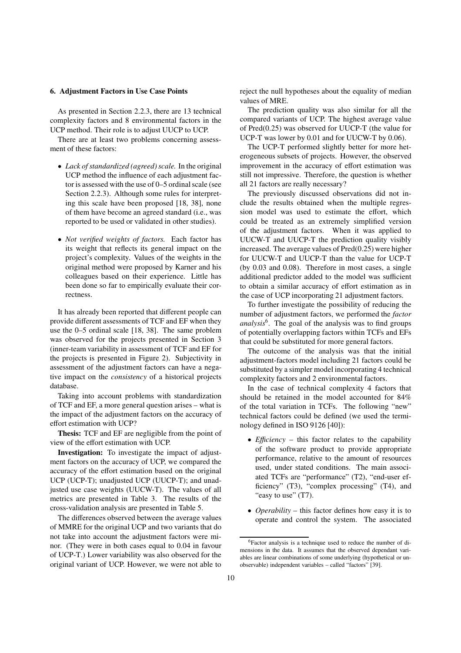## 6. Adjustment Factors in Use Case Points

As presented in Section 2.2.3, there are 13 technical complexity factors and 8 environmental factors in the UCP method. Their role is to adjust UUCP to UCP.

There are at least two problems concerning assessment of these factors:

- *Lack of standardized (agreed) scale.* In the original UCP method the influence of each adjustment factor is assessed with the use of 0–5 ordinal scale (see Section 2.2.3). Although some rules for interpreting this scale have been proposed [18, 38], none of them have become an agreed standard (i.e., was reported to be used or validated in other studies).
- *Not verified weights of factors.* Each factor has its weight that reflects its general impact on the project's complexity. Values of the weights in the original method were proposed by Karner and his colleagues based on their experience. Little has been done so far to empirically evaluate their correctness.

It has already been reported that different people can provide different assessments of TCF and EF when they use the 0–5 ordinal scale [18, 38]. The same problem was observed for the projects presented in Section 3 (inner-team variability in assessment of TCF and EF for the projects is presented in Figure 2). Subjectivity in assessment of the adjustment factors can have a negative impact on the *consistency* of a historical projects database.

Taking into account problems with standardization of TCF and EF, a more general question arises – what is the impact of the adjustment factors on the accuracy of effort estimation with UCP?

Thesis: TCF and EF are negligible from the point of view of the effort estimation with UCP.

Investigation: To investigate the impact of adjustment factors on the accuracy of UCP, we compared the accuracy of the effort estimation based on the original UCP (UCP-T); unadjusted UCP (UUCP-T); and unadjusted use case weights (UUCW-T). The values of all metrics are presented in Table 3. The results of the cross-validation analysis are presented in Table 5.

The differences observed between the average values of MMRE for the original UCP and two variants that do not take into account the adjustment factors were minor. (They were in both cases equal to 0.04 in favour of UCP-T.) Lower variability was also observed for the original variant of UCP. However, we were not able to

reject the null hypotheses about the equality of median values of MRE.

The prediction quality was also similar for all the compared variants of UCP. The highest average value of Pred(0.25) was observed for UUCP-T (the value for UCP-T was lower by 0.01 and for UUCW-T by 0.06).

The UCP-T performed slightly better for more heterogeneous subsets of projects. However, the observed improvement in the accuracy of effort estimation was still not impressive. Therefore, the question is whether all 21 factors are really necessary?

The previously discussed observations did not include the results obtained when the multiple regression model was used to estimate the effort, which could be treated as an extremely simplified version of the adjustment factors. When it was applied to UUCW-T and UUCP-T the prediction quality visibly increased. The average values of Pred(0.25) were higher for UUCW-T and UUCP-T than the value for UCP-T (by 0.03 and 0.08). Therefore in most cases, a single additional predictor added to the model was sufficient to obtain a similar accuracy of effort estimation as in the case of UCP incorporating 21 adjustment factors.

To further investigate the possibility of reducing the number of adjustment factors, we performed the *factor analysis*6. The goal of the analysis was to find groups of potentially overlapping factors within TCFs and EFs that could be substituted for more general factors.

The outcome of the analysis was that the initial adjustment-factors model including 21 factors could be substituted by a simpler model incorporating 4 technical complexity factors and 2 environmental factors.

In the case of technical complexity 4 factors that should be retained in the model accounted for 84% of the total variation in TCFs. The following "new" technical factors could be defined (we used the terminology defined in ISO 9126 [40]):

- *Efficiency* this factor relates to the capability of the software product to provide appropriate performance, relative to the amount of resources used, under stated conditions. The main associated TCFs are "performance" (T2), "end-user efficiency" (T3), "complex processing" (T4), and "easy to use" (T7).
- *Operability* this factor defines how easy it is to operate and control the system. The associated

<sup>6</sup>Factor analysis is a technique used to reduce the number of dimensions in the data. It assumes that the observed dependant variables are linear combinations of some underlying (hypothetical or unobservable) independent variables – called "factors" [39].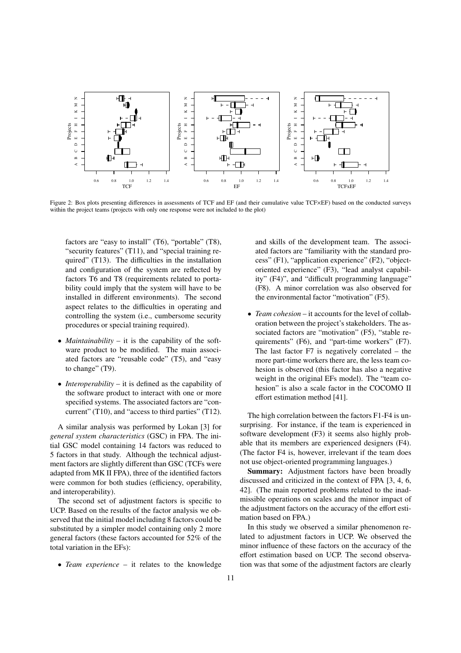

Figure 2: Box plots presenting differences in assessments of TCF and EF (and their cumulative value TCF×EF) based on the conducted surveys within the project teams (projects with only one response were not included to the plot)

factors are "easy to install" (T6), "portable" (T8), "security features" (T11), and "special training required" (T13). The difficulties in the installation and configuration of the system are reflected by factors T6 and T8 (requirements related to portability could imply that the system will have to be installed in different environments). The second aspect relates to the difficulties in operating and controlling the system (i.e., cumbersome security procedures or special training required).

- *Maintainability* it is the capability of the software product to be modified. The main associated factors are "reusable code" (T5), and "easy to change" (T9).
- *Interoperability* it is defined as the capability of the software product to interact with one or more specified systems. The associated factors are "concurrent" (T10), and "access to third parties" (T12).

A similar analysis was performed by Lokan [3] for *general system characteristics* (GSC) in FPA. The initial GSC model containing 14 factors was reduced to 5 factors in that study. Although the technical adjustment factors are slightly different than GSC (TCFs were adapted from MK II FPA), three of the identified factors were common for both studies (efficiency, operability, and interoperability).

The second set of adjustment factors is specific to UCP. Based on the results of the factor analysis we observed that the initial model including 8 factors could be substituted by a simpler model containing only 2 more general factors (these factors accounted for 52% of the total variation in the EFs):

• *Team experience* – it relates to the knowledge

and skills of the development team. The associated factors are "familiarity with the standard process" (F1), "application experience" (F2), "objectoriented experience" (F3), "lead analyst capability" (F4)", and "difficult programming language" (F8). A minor correlation was also observed for the environmental factor "motivation" (F5).

• *Team cohesion* – it accounts for the level of collaboration between the project's stakeholders. The associated factors are "motivation" (F5), "stable requirements" (F6), and "part-time workers" (F7). The last factor F7 is negatively correlated – the more part-time workers there are, the less team cohesion is observed (this factor has also a negative weight in the original EFs model). The "team cohesion" is also a scale factor in the COCOMO II effort estimation method [41].

The high correlation between the factors F1-F4 is unsurprising. For instance, if the team is experienced in software development (F3) it seems also highly probable that its members are experienced designers (F4). (The factor F4 is, however, irrelevant if the team does not use object-oriented programming languages.)

Summary: Adjustment factors have been broadly discussed and criticized in the context of FPA [3, 4, 6, 42]. (The main reported problems related to the inadmissible operations on scales and the minor impact of the adjustment factors on the accuracy of the effort estimation based on FPA.)

In this study we observed a similar phenomenon related to adjustment factors in UCP. We observed the minor influence of these factors on the accuracy of the effort estimation based on UCP. The second observation was that some of the adjustment factors are clearly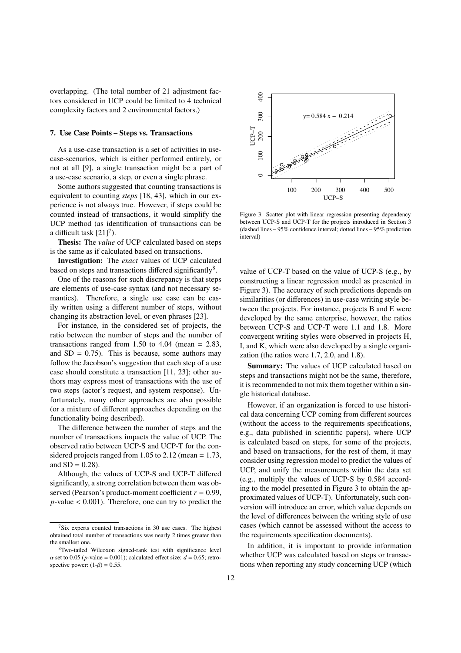overlapping. (The total number of 21 adjustment factors considered in UCP could be limited to 4 technical complexity factors and 2 environmental factors.)

#### 7. Use Case Points – Steps vs. Transactions

As a use-case transaction is a set of activities in usecase-scenarios, which is either performed entirely, or not at all [9], a single transaction might be a part of a use-case scenario, a step, or even a single phrase.

Some authors suggested that counting transactions is equivalent to counting *steps* [18, 43], which in our experience is not always true. However, if steps could be counted instead of transactions, it would simplify the UCP method (as identification of transactions can be a difficult task  $[21]^{7}$ ).

Thesis: The *value* of UCP calculated based on steps is the same as if calculated based on transactions.

Investigation: The *exact* values of UCP calculated based on steps and transactions differed significantly<sup>8</sup>.

One of the reasons for such discrepancy is that steps are elements of use-case syntax (and not necessary semantics). Therefore, a single use case can be easily written using a different number of steps, without changing its abstraction level, or even phrases [23].

For instance, in the considered set of projects, the ratio between the number of steps and the number of transactions ranged from 1.50 to 4.04 (mean  $= 2.83$ , and  $SD = 0.75$ ). This is because, some authors may follow the Jacobson's suggestion that each step of a use case should constitute a transaction [11, 23]; other authors may express most of transactions with the use of two steps (actor's request, and system response). Unfortunately, many other approaches are also possible (or a mixture of different approaches depending on the functionality being described).

The difference between the number of steps and the number of transactions impacts the value of UCP. The observed ratio between UCP-S and UCP-T for the considered projects ranged from 1.05 to 2.12 (mean = 1.73, and  $SD = 0.28$ ).

Although, the values of UCP-S and UCP-T differed significantly, a strong correlation between them was observed (Pearson's product-moment coefficient  $r = 0.99$ ,  $p$ -value  $< 0.001$ ). Therefore, one can try to predict the



Figure 3: Scatter plot with linear regression presenting dependency between UCP-S and UCP-T for the projects introduced in Section 3 (dashed lines – 95% confidence interval; dotted lines – 95% prediction interval)

value of UCP-T based on the value of UCP-S (e.g., by constructing a linear regression model as presented in Figure 3). The accuracy of such predictions depends on similarities (or differences) in use-case writing style between the projects. For instance, projects B and E were developed by the same enterprise, however, the ratios between UCP-S and UCP-T were 1.1 and 1.8. More convergent writing styles were observed in projects H, I, and K, which were also developed by a single organization (the ratios were 1.7, 2.0, and 1.8).

Summary: The values of UCP calculated based on steps and transactions might not be the same, therefore, it is recommended to not mix them together within a single historical database.

However, if an organization is forced to use historical data concerning UCP coming from different sources (without the access to the requirements specifications, e.g., data published in scientific papers), where UCP is calculated based on steps, for some of the projects, and based on transactions, for the rest of them, it may consider using regression model to predict the values of UCP, and unify the measurements within the data set (e.g., multiply the values of UCP-S by 0.584 according to the model presented in Figure 3 to obtain the approximated values of UCP-T). Unfortunately, such conversion will introduce an error, which value depends on the level of differences between the writing style of use cases (which cannot be assessed without the access to the requirements specification documents).

In addition, it is important to provide information whether UCP was calculated based on steps or transactions when reporting any study concerning UCP (which

 $7\text{Six exports counted transactions in }30$  use cases. The highest obtained total number of transactions was nearly 2 times greater than the smallest one.

<sup>8</sup>Two-tailed Wilcoxon signed-rank test with significance level  $\alpha$  set to 0.05 (*p*-value = 0.001); calculated effect size:  $d = 0.65$ ; retrospective power:  $(1-\beta) = 0.55$ .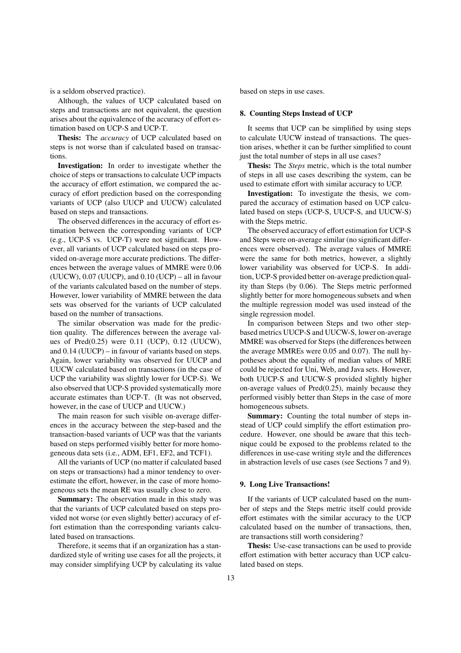is a seldom observed practice).

Although, the values of UCP calculated based on steps and transactions are not equivalent, the question arises about the equivalence of the accuracy of effort estimation based on UCP-S and UCP-T.

Thesis: The *accuracy* of UCP calculated based on steps is not worse than if calculated based on transactions.

Investigation: In order to investigate whether the choice of steps or transactions to calculate UCP impacts the accuracy of effort estimation, we compared the accuracy of effort prediction based on the corresponding variants of UCP (also UUCP and UUCW) calculated based on steps and transactions.

The observed differences in the accuracy of effort estimation between the corresponding variants of UCP (e.g., UCP-S vs. UCP-T) were not significant. However, all variants of UCP calculated based on steps provided on-average more accurate predictions. The differences between the average values of MMRE were 0.06 (UUCW),  $0.07$  (UUCP), and  $0.10$  (UCP) – all in favour of the variants calculated based on the number of steps. However, lower variability of MMRE between the data sets was observed for the variants of UCP calculated based on the number of transactions.

The similar observation was made for the prediction quality. The differences between the average values of Pred(0.25) were 0.11 (UCP), 0.12 (UUCW), and 0.14 (UUCP) – in favour of variants based on steps. Again, lower variability was observed for UUCP and UUCW calculated based on transactions (in the case of UCP the variability was slightly lower for UCP-S). We also observed that UCP-S provided systematically more accurate estimates than UCP-T. (It was not observed, however, in the case of UUCP and UUCW.)

The main reason for such visible on-average differences in the accuracy between the step-based and the transaction-based variants of UCP was that the variants based on steps performed visibly better for more homogeneous data sets (i.e., ADM, EF1, EF2, and TCF1).

All the variants of UCP (no matter if calculated based on steps or transactions) had a minor tendency to overestimate the effort, however, in the case of more homogeneous sets the mean RE was usually close to zero.

Summary: The observation made in this study was that the variants of UCP calculated based on steps provided not worse (or even slightly better) accuracy of effort estimation than the corresponding variants calculated based on transactions.

Therefore, it seems that if an organization has a standardized style of writing use cases for all the projects, it may consider simplifying UCP by calculating its value

based on steps in use cases.

## 8. Counting Steps Instead of UCP

It seems that UCP can be simplified by using steps to calculate UUCW instead of transactions. The question arises, whether it can be further simplified to count just the total number of steps in all use cases?

Thesis: The *Steps* metric, which is the total number of steps in all use cases describing the system, can be used to estimate effort with similar accuracy to UCP.

Investigation: To investigate the thesis, we compared the accuracy of estimation based on UCP calculated based on steps (UCP-S, UUCP-S, and UUCW-S) with the Steps metric.

The observed accuracy of effort estimation for UCP-S and Steps were on-average similar (no significant differences were observed). The average values of MMRE were the same for both metrics, however, a slightly lower variability was observed for UCP-S. In addition, UCP-S provided better on-average prediction quality than Steps (by 0.06). The Steps metric performed slightly better for more homogeneous subsets and when the multiple regression model was used instead of the single regression model.

In comparison between Steps and two other stepbased metrics UUCP-S and UUCW-S, lower on-average MMRE was observed for Steps (the differences between the average MMREs were 0.05 and 0.07). The null hypotheses about the equality of median values of MRE could be rejected for Uni, Web, and Java sets. However, both UUCP-S and UUCW-S provided slightly higher on-average values of Pred(0.25), mainly because they performed visibly better than Steps in the case of more homogeneous subsets.

Summary: Counting the total number of steps instead of UCP could simplify the effort estimation procedure. However, one should be aware that this technique could be exposed to the problems related to the differences in use-case writing style and the differences in abstraction levels of use cases (see Sections 7 and 9).

#### 9. Long Live Transactions!

If the variants of UCP calculated based on the number of steps and the Steps metric itself could provide effort estimates with the similar accuracy to the UCP calculated based on the number of transactions, then, are transactions still worth considering?

Thesis: Use-case transactions can be used to provide effort estimation with better accuracy than UCP calculated based on steps.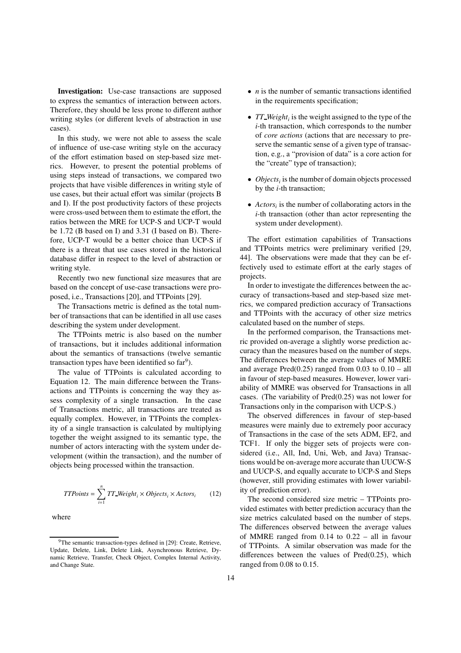Investigation: Use-case transactions are supposed to express the semantics of interaction between actors. Therefore, they should be less prone to different author writing styles (or different levels of abstraction in use cases).

In this study, we were not able to assess the scale of influence of use-case writing style on the accuracy of the effort estimation based on step-based size metrics. However, to present the potential problems of using steps instead of transactions, we compared two projects that have visible differences in writing style of use cases, but their actual effort was similar (projects B and I). If the post productivity factors of these projects were cross-used between them to estimate the effort, the ratios between the MRE for UCP-S and UCP-T would be 1.72 (B based on I) and 3.31 (I based on B). Therefore, UCP-T would be a better choice than UCP-S if there is a threat that use cases stored in the historical database differ in respect to the level of abstraction or writing style.

Recently two new functional size measures that are based on the concept of use-case transactions were proposed, i.e., Transactions [20], and TTPoints [29].

The Transactions metric is defined as the total number of transactions that can be identified in all use cases describing the system under development.

The TTPoints metric is also based on the number of transactions, but it includes additional information about the semantics of transactions (twelve semantic transaction types have been identified so  $far<sup>9</sup>$ ).

The value of TTPoints is calculated according to Equation 12. The main difference between the Transactions and TTPoints is concerning the way they assess complexity of a single transaction. In the case of Transactions metric, all transactions are treated as equally complex. However, in TTPoints the complexity of a single transaction is calculated by multiplying together the weight assigned to its semantic type, the number of actors interacting with the system under development (within the transaction), and the number of objects being processed within the transaction.

$$
TTPoints = \sum_{i=1}^{n} TT\text{-Weight}_{i} \times Objects_{i} \times Actions_{i} \qquad (12)
$$

where

- *n* is the number of semantic transactions identified in the requirements specification;
- $TT$  *Weight<sub>i</sub>* is the weight assigned to the type of the *i*-th transaction, which corresponds to the number of *core actions* (actions that are necessary to preserve the semantic sense of a given type of transaction, e.g., a "provision of data" is a core action for the "create" type of transaction);
- $\bullet$  *Objects<sub>i</sub>* is the number of domain objects processed by the *i*-th transaction;
- *Actors<sub>i</sub>* is the number of collaborating actors in the *i*-th transaction (other than actor representing the system under development).

The effort estimation capabilities of Transactions and TTPoints metrics were preliminary verified [29, 44]. The observations were made that they can be effectively used to estimate effort at the early stages of projects.

In order to investigate the differences between the accuracy of transactions-based and step-based size metrics, we compared prediction accuracy of Transactions and TTPoints with the accuracy of other size metrics calculated based on the number of steps.

In the performed comparison, the Transactions metric provided on-average a slightly worse prediction accuracy than the measures based on the number of steps. The differences between the average values of MMRE and average Pred $(0.25)$  ranged from 0.03 to  $0.10 -$ all in favour of step-based measures. However, lower variability of MMRE was observed for Transactions in all cases. (The variability of Pred(0.25) was not lower for Transactions only in the comparison with UCP-S.)

The observed differences in favour of step-based measures were mainly due to extremely poor accuracy of Transactions in the case of the sets ADM, EF2, and TCF1. If only the bigger sets of projects were considered (i.e., All, Ind, Uni, Web, and Java) Transactions would be on-average more accurate than UUCW-S and UUCP-S, and equally accurate to UCP-S and Steps (however, still providing estimates with lower variability of prediction error).

The second considered size metric – TTPoints provided estimates with better prediction accuracy than the size metrics calculated based on the number of steps. The differences observed between the average values of MMRE ranged from 0.14 to 0.22 – all in favour of TTPoints. A similar observation was made for the differences between the values of Pred(0.25), which ranged from 0.08 to 0.15.

<sup>&</sup>lt;sup>9</sup>The semantic transaction-types defined in [29]: Create, Retrieve, Update, Delete, Link, Delete Link, Asynchronous Retrieve, Dynamic Retrieve, Transfer, Check Object, Complex Internal Activity, and Change State.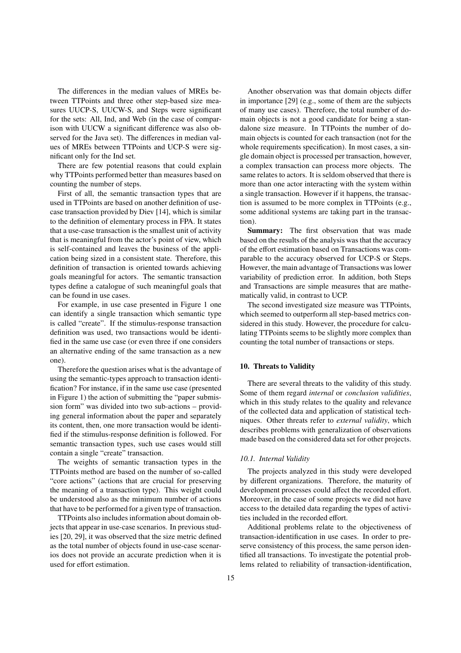The differences in the median values of MREs between TTPoints and three other step-based size measures UUCP-S, UUCW-S, and Steps were significant for the sets: All, Ind, and Web (in the case of comparison with UUCW a significant difference was also observed for the Java set). The differences in median values of MREs between TTPoints and UCP-S were significant only for the Ind set.

There are few potential reasons that could explain why TTPoints performed better than measures based on counting the number of steps.

First of all, the semantic transaction types that are used in TTPoints are based on another definition of usecase transaction provided by Diev [14], which is similar to the definition of elementary process in FPA. It states that a use-case transaction is the smallest unit of activity that is meaningful from the actor's point of view, which is self-contained and leaves the business of the application being sized in a consistent state. Therefore, this definition of transaction is oriented towards achieving goals meaningful for actors. The semantic transaction types define a catalogue of such meaningful goals that can be found in use cases.

For example, in use case presented in Figure 1 one can identify a single transaction which semantic type is called "create". If the stimulus-response transaction definition was used, two transactions would be identified in the same use case (or even three if one considers an alternative ending of the same transaction as a new one).

Therefore the question arises what is the advantage of using the semantic-types approach to transaction identification? For instance, if in the same use case (presented in Figure 1) the action of submitting the "paper submission form" was divided into two sub-actions – providing general information about the paper and separately its content, then, one more transaction would be identified if the stimulus-response definition is followed. For semantic transaction types, such use cases would still contain a single "create" transaction.

The weights of semantic transaction types in the TTPoints method are based on the number of so-called "core actions" (actions that are crucial for preserving the meaning of a transaction type). This weight could be understood also as the minimum number of actions that have to be performed for a given type of transaction.

TTPoints also includes information about domain objects that appear in use-case scenarios. In previous studies [20, 29], it was observed that the size metric defined as the total number of objects found in use-case scenarios does not provide an accurate prediction when it is used for effort estimation.

Another observation was that domain objects differ in importance [29] (e.g., some of them are the subjects of many use cases). Therefore, the total number of domain objects is not a good candidate for being a standalone size measure. In TTPoints the number of domain objects is counted for each transaction (not for the whole requirements specification). In most cases, a single domain object is processed per transaction, however, a complex transaction can process more objects. The same relates to actors. It is seldom observed that there is more than one actor interacting with the system within a single transaction. However if it happens, the transaction is assumed to be more complex in TTPoints (e.g., some additional systems are taking part in the transaction).

Summary: The first observation that was made based on the results of the analysis was that the accuracy of the effort estimation based on Transactions was comparable to the accuracy observed for UCP-S or Steps. However, the main advantage of Transactions was lower variability of prediction error. In addition, both Steps and Transactions are simple measures that are mathematically valid, in contrast to UCP.

The second investigated size measure was TTPoints, which seemed to outperform all step-based metrics considered in this study. However, the procedure for calculating TTPoints seems to be slightly more complex than counting the total number of transactions or steps.

## 10. Threats to Validity

There are several threats to the validity of this study. Some of them regard *internal* or *conclusion validities*, which in this study relates to the quality and relevance of the collected data and application of statistical techniques. Other threats refer to *external validity*, which describes problems with generalization of observations made based on the considered data set for other projects.

#### *10.1. Internal Validity*

The projects analyzed in this study were developed by different organizations. Therefore, the maturity of development processes could affect the recorded effort. Moreover, in the case of some projects we did not have access to the detailed data regarding the types of activities included in the recorded effort.

Additional problems relate to the objectiveness of transaction-identification in use cases. In order to preserve consistency of this process, the same person identified all transactions. To investigate the potential problems related to reliability of transaction-identification,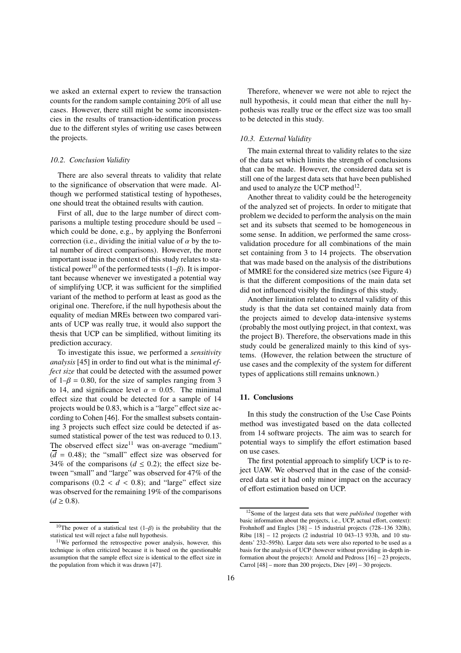we asked an external expert to review the transaction counts for the random sample containing 20% of all use cases. However, there still might be some inconsistencies in the results of transaction-identification process due to the different styles of writing use cases between the projects.

#### *10.2. Conclusion Validity*

There are also several threats to validity that relate to the significance of observation that were made. Although we performed statistical testing of hypotheses, one should treat the obtained results with caution.

First of all, due to the large number of direct comparisons a multiple testing procedure should be used – which could be done, e.g., by applying the Bonferroni correction (i.e., dividing the initial value of  $\alpha$  by the total number of direct comparisons). However, the more important issue in the context of this study relates to statistical power<sup>10</sup> of the performed tests  $(1-\beta)$ . It is important because whenever we investigated a potential way of simplifying UCP, it was sufficient for the simplified variant of the method to perform at least as good as the original one. Therefore, if the null hypothesis about the equality of median MREs between two compared variants of UCP was really true, it would also support the thesis that UCP can be simplified, without limiting its prediction accuracy.

To investigate this issue, we performed a *sensitivity analysis* [45] in order to find out what is the minimal *effect size* that could be detected with the assumed power of  $1-\beta = 0.80$ , for the size of samples ranging from 3 to 14, and significance level  $\alpha = 0.05$ . The minimal effect size that could be detected for a sample of 14 projects would be 0.83, which is a "large" effect size according to Cohen [46]. For the smallest subsets containing 3 projects such effect size could be detected if assumed statistical power of the test was reduced to 0.13. The observed effect size $11$  was on-average "medium"  $(\overline{d} = 0.48)$ ; the "small" effect size was observed for 34% of the comparisons  $(d \le 0.2)$ ; the effect size between "small" and "large" was observed for 47% of the comparisons  $(0.2 < d < 0.8)$ ; and "large" effect size was observed for the remaining 19% of the comparisons  $(d \ge 0.8)$ .

Therefore, whenever we were not able to reject the null hypothesis, it could mean that either the null hypothesis was really true or the effect size was too small to be detected in this study.

## *10.3. External Validity*

The main external threat to validity relates to the size of the data set which limits the strength of conclusions that can be made. However, the considered data set is still one of the largest data sets that have been published and used to analyze the UCP method $12$ .

Another threat to validity could be the heterogeneity of the analyzed set of projects. In order to mitigate that problem we decided to perform the analysis on the main set and its subsets that seemed to be homogeneous in some sense. In addition, we performed the same crossvalidation procedure for all combinations of the main set containing from 3 to 14 projects. The observation that was made based on the analysis of the distributions of MMRE for the considered size metrics (see Figure 4) is that the different compositions of the main data set did not influenced visibly the findings of this study.

Another limitation related to external validity of this study is that the data set contained mainly data from the projects aimed to develop data-intensive systems (probably the most outlying project, in that context, was the project B). Therefore, the observations made in this study could be generalized mainly to this kind of systems. (However, the relation between the structure of use cases and the complexity of the system for different types of applications still remains unknown.)

## 11. Conclusions

In this study the construction of the Use Case Points method was investigated based on the data collected from 14 software projects. The aim was to search for potential ways to simplify the effort estimation based on use cases.

The first potential approach to simplify UCP is to reject UAW. We observed that in the case of the considered data set it had only minor impact on the accuracy of effort estimation based on UCP.

<sup>&</sup>lt;sup>10</sup>The power of a statistical test  $(1-\beta)$  is the probability that the statistical test will reject a false null hypothesis.

<sup>11</sup>We performed the retrospective power analysis, however, this technique is often criticized because it is based on the questionable assumption that the sample effect size is identical to the effect size in the population from which it was drawn [47].

<sup>12</sup>Some of the largest data sets that were *published* (together with basic information about the projects, i.e., UCP, actual effort, context): Frohnhoff and Engles [38] – 15 industrial projects (728–136 320h), Ribu [18] – 12 projects (2 industrial 10 043–13 933h, and 10 students' 232–595h). Larger data sets were also reported to be used as a basis for the analysis of UCP (however without providing in-depth information about the projects): Arnold and Pedross [16] – 23 projects, Carrol [48] – more than 200 projects, Diev [49] – 30 projects.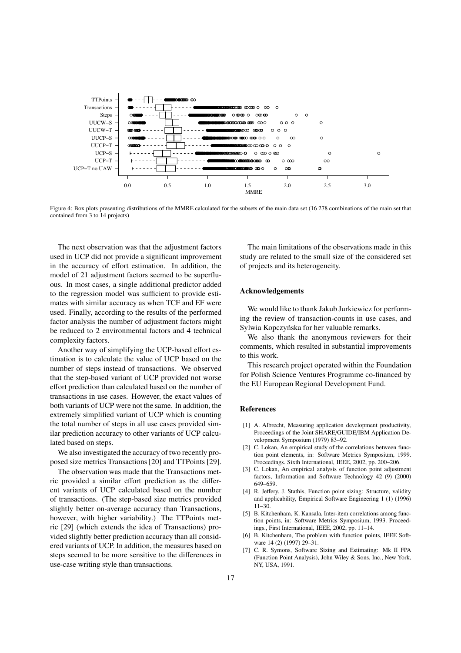

Figure 4: Box plots presenting distributions of the MMRE calculated for the subsets of the main data set (16 278 combinations of the main set that contained from 3 to 14 projects)

The next observation was that the adjustment factors used in UCP did not provide a significant improvement in the accuracy of effort estimation. In addition, the model of 21 adjustment factors seemed to be superfluous. In most cases, a single additional predictor added to the regression model was sufficient to provide estimates with similar accuracy as when TCF and EF were used. Finally, according to the results of the performed factor analysis the number of adjustment factors might be reduced to 2 environmental factors and 4 technical complexity factors.

Another way of simplifying the UCP-based effort estimation is to calculate the value of UCP based on the number of steps instead of transactions. We observed that the step-based variant of UCP provided not worse effort prediction than calculated based on the number of transactions in use cases. However, the exact values of both variants of UCP were not the same. In addition, the extremely simplified variant of UCP which is counting the total number of steps in all use cases provided similar prediction accuracy to other variants of UCP calculated based on steps.

We also investigated the accuracy of two recently proposed size metrics Transactions [20] and TTPoints [29].

The observation was made that the Transactions metric provided a similar effort prediction as the different variants of UCP calculated based on the number of transactions. (The step-based size metrics provided slightly better on-average accuracy than Transactions, however, with higher variability.) The TTPoints metric [29] (which extends the idea of Transactions) provided slightly better prediction accuracy than all considered variants of UCP. In addition, the measures based on steps seemed to be more sensitive to the differences in use-case writing style than transactions.

The main limitations of the observations made in this study are related to the small size of the considered set of projects and its heterogeneity.

## Acknowledgements

We would like to thank Jakub Jurkiewicz for performing the review of transaction-counts in use cases, and Sylwia Kopczyńska for her valuable remarks.

We also thank the anonymous reviewers for their comments, which resulted in substantial improvements to this work.

This research project operated within the Foundation for Polish Science Ventures Programme co-financed by the EU European Regional Development Fund.

#### References

- [1] A. Albrecht, Measuring application development productivity, Proceedings of the Joint SHARE/GUIDE/IBM Application Development Symposium (1979) 83–92.
- [2] C. Lokan, An empirical study of the correlations between function point elements, in: Software Metrics Symposium, 1999. Proceedings. Sixth International, IEEE, 2002, pp. 200–206.
- [3] C. Lokan, An empirical analysis of function point adjustment factors, Information and Software Technology 42 (9) (2000) 649–659.
- [4] R. Jeffery, J. Stathis, Function point sizing: Structure, validity and applicability, Empirical Software Engineering 1 (1) (1996) 11–30.
- [5] B. Kitchenham, K. Kansala, Inter-item correlations among function points, in: Software Metrics Symposium, 1993. Proceedings., First International, IEEE, 2002, pp. 11–14.
- [6] B. Kitchenham, The problem with function points, IEEE Software 14 (2) (1997) 29-31.
- [7] C. R. Symons, Software Sizing and Estimating: Mk II FPA (Function Point Analysis), John Wiley & Sons, Inc., New York, NY, USA, 1991.